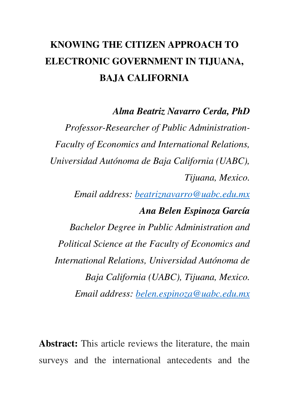## **KNOWING THE CITIZEN APPROACH TO ELECTRONIC GOVERNMENT IN TIJUANA, BAJA CALIFORNIA**

### *Alma Beatriz Navarro Cerda, PhD*

*Professor-Researcher of Public Administration-Faculty of Economics and International Relations, Universidad Autónoma de Baja California (UABC), Tijuana, Mexico.* 

*Email address: [beatriznavarro@uabc.edu.mx](mailto:beatriznavarro@uabc.edu.mx)*

#### *Ana Belen Espinoza García*

*Bachelor Degree in Public Administration and Political Science at the Faculty of Economics and International Relations, Universidad Autónoma de Baja California (UABC), Tijuana, Mexico. Email address: [belen.espinoza@uabc.edu.mx](mailto:belen.espinoza@uabc.edu.mx)*

**Abstract:** This article reviews the literature, the main surveys and the international antecedents and the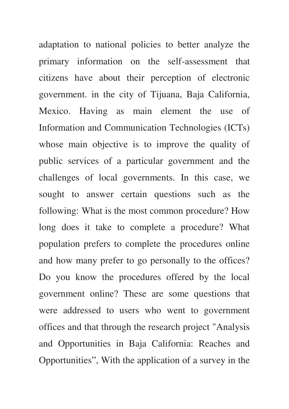adaptation to national policies to better analyze the primary information on the self-assessment that citizens have about their perception of electronic government. in the city of Tijuana, Baja California, Mexico. Having as main element the use of Information and Communication Technologies (ICTs) whose main objective is to improve the quality of public services of a particular government and the challenges of local governments. In this case, we sought to answer certain questions such as the following: What is the most common procedure? How long does it take to complete a procedure? What population prefers to complete the procedures online and how many prefer to go personally to the offices? Do you know the procedures offered by the local government online? These are some questions that were addressed to users who went to government offices and that through the research project "Analysis and Opportunities in Baja California: Reaches and Opportunities", With the application of a survey in the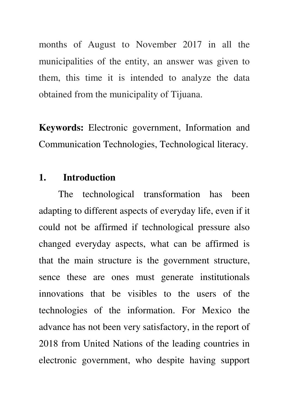months of August to November 2017 in all the municipalities of the entity, an answer was given to them, this time it is intended to analyze the data obtained from the municipality of Tijuana.

**Keywords:** Electronic government, Information and Communication Technologies, Technological literacy.

### **1. Introduction**

The technological transformation has been adapting to different aspects of everyday life, even if it could not be affirmed if technological pressure also changed everyday aspects, what can be affirmed is that the main structure is the government structure, sence these are ones must generate institutionals innovations that be visibles to the users of the technologies of the information. For Mexico the advance has not been very satisfactory, in the report of 2018 from United Nations of the leading countries in electronic government, who despite having support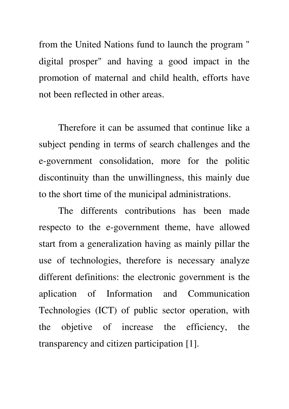from the United Nations fund to launch the program " digital prosper" and having a good impact in the promotion of maternal and child health, efforts have not been reflected in other areas.

Therefore it can be assumed that continue like a subject pending in terms of search challenges and the e-government consolidation, more for the politic discontinuity than the unwillingness, this mainly due to the short time of the municipal administrations.

The differents contributions has been made respecto to the e-government theme, have allowed start from a generalization having as mainly pillar the use of technologies, therefore is necessary analyze different definitions: the electronic government is the aplication of Information and Communication Technologies (ICT) of public sector operation, with the objetive of increase the efficiency, the transparency and citizen participation [1].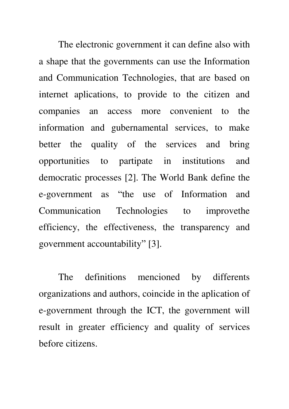The electronic government it can define also with a shape that the governments can use the Information and Communication Technologies, that are based on internet aplications, to provide to the citizen and companies an access more convenient to the information and gubernamental services, to make better the quality of the services and bring opportunities to partipate in institutions and democratic processes [2]. The World Bank define the e-government as "the use of Information and Communication Technologies to improvethe efficiency, the effectiveness, the transparency and government accountability" [3].

The definitions mencioned by differents organizations and authors, coincide in the aplication of e-government through the ICT, the government will result in greater efficiency and quality of services before citizens.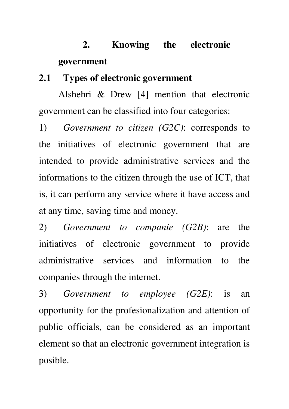### **2. Knowing the electronic government**

### **2.1 Types of electronic government**

Alshehri & Drew [4] mention that electronic government can be classified into four categories:

1) *Government to citizen (G2C)*: corresponds to the initiatives of electronic government that are intended to provide administrative services and the informations to the citizen through the use of ICT, that is, it can perform any service where it have access and at any time, saving time and money.

2) *Government to companie (G2B)*: are the initiatives of electronic government to provide administrative services and information to the companies through the internet.

3) *Government to employee (G2E)*: is an opportunity for the profesionalization and attention of public officials, can be considered as an important element so that an electronic government integration is posible.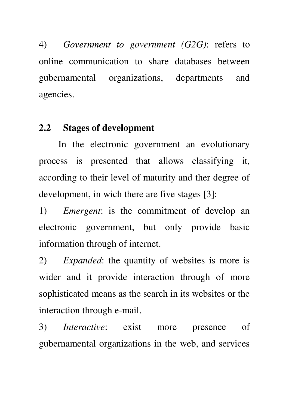4) *Government to government (G2G)*: refers to online communication to share databases between gubernamental organizations, departments and agencies.

#### **2.2 Stages of development**

In the electronic government an evolutionary process is presented that allows classifying it, according to their level of maturity and ther degree of development, in wich there are five stages [3]:

1) *Emergent*: is the commitment of develop an electronic government, but only provide basic information through of internet.

2) *Expanded*: the quantity of websites is more is wider and it provide interaction through of more sophisticated means as the search in its websites or the interaction through e-mail.

3) *Interactive*: exist more presence of gubernamental organizations in the web, and services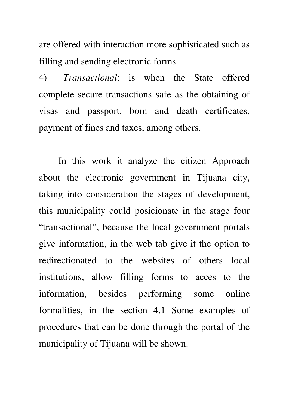are offered with interaction more sophisticated such as filling and sending electronic forms.

4) *Transactional*: is when the State offered complete secure transactions safe as the obtaining of visas and passport, born and death certificates, payment of fines and taxes, among others.

In this work it analyze the citizen Approach about the electronic government in Tijuana city, taking into consideration the stages of development, this municipality could posicionate in the stage four "transactional", because the local government portals give information, in the web tab give it the option to redirectionated to the websites of others local institutions, allow filling forms to acces to the information, besides performing some online formalities, in the section 4.1 Some examples of procedures that can be done through the portal of the municipality of Tijuana will be shown.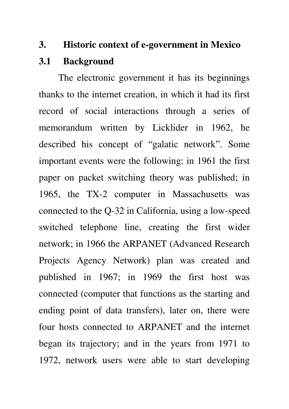### **3. Historic context of e-government in Mexico**

#### **3.1 Background**

The electronic government it has its beginnings thanks to the internet creation, in which it had its first record of social interactions through a series of memorandum written by Licklider in 1962, he described his concept of "galatic network". Some important events were the following: in 1961 the first paper on packet switching theory was published; in 1965, the TX-2 computer in Massachusetts was connected to the Q-32 in California, using a low-speed switched telephone line, creating the first wider network; in 1966 the ARPANET (Advanced Research Projects Agency Network) plan was created and published in 1967; in 1969 the first host was connected (computer that functions as the starting and ending point of data transfers), later on, there were four hosts connected to ARPANET and the internet began its trajectory; and in the years from 1971 to 1972, network users were able to start developing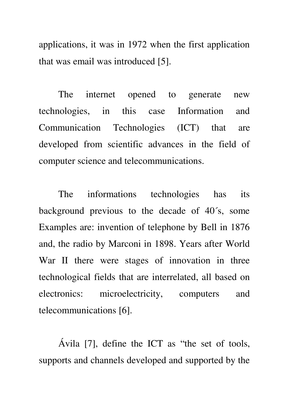applications, it was in 1972 when the first application that was email was introduced [5].

The internet opened to generate new technologies, in this case Information and Communication Technologies (ICT) that are developed from scientific advances in the field of computer science and telecommunications.

The informations technologies has its background previous to the decade of 40´s, some Examples are: invention of telephone by Bell in 1876 and, the radio by Marconi in 1898. Years after World War II there were stages of innovation in three technological fields that are interrelated, all based on electronics: microelectricity, computers and telecommunications [6].

Ávila [7], define the ICT as "the set of tools, supports and channels developed and supported by the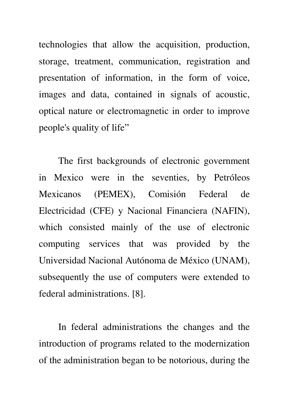technologies that allow the acquisition, production, storage, treatment, communication, registration and presentation of information, in the form of voice, images and data, contained in signals of acoustic, optical nature or electromagnetic in order to improve people's quality of life"

The first backgrounds of electronic government in Mexico were in the seventies, by Petróleos Mexicanos (PEMEX), Comisión Federal de Electricidad (CFE) y Nacional Financiera (NAFIN), which consisted mainly of the use of electronic computing services that was provided by the Universidad Nacional Autónoma de México (UNAM), subsequently the use of computers were extended to federal administrations. [8].

In federal administrations the changes and the introduction of programs related to the modernization of the administration began to be notorious, during the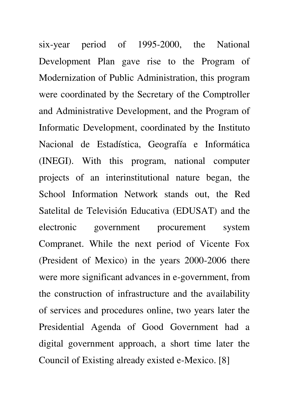six-year period of 1995-2000, the National Development Plan gave rise to the Program of Modernization of Public Administration, this program were coordinated by the Secretary of the Comptroller and Administrative Development, and the Program of Informatic Development, coordinated by the Instituto Nacional de Estadística, Geografía e Informática (INEGI). With this program, national computer projects of an interinstitutional nature began, the School Information Network stands out, the Red Satelital de Televisión Educativa (EDUSAT) and the electronic government procurement system Compranet. While the next period of Vicente Fox (President of Mexico) in the years 2000-2006 there were more significant advances in e-government, from the construction of infrastructure and the availability of services and procedures online, two years later the Presidential Agenda of Good Government had a digital government approach, a short time later the Council of Existing already existed e-Mexico. [8]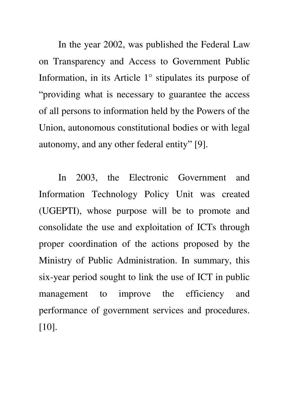In the year 2002, was published the Federal Law on Transparency and Access to Government Public Information, in its Article 1° stipulates its purpose of "providing what is necessary to guarantee the access of all persons to information held by the Powers of the Union, autonomous constitutional bodies or with legal autonomy, and any other federal entity" [9].

In 2003, the Electronic Government and Information Technology Policy Unit was created (UGEPTI), whose purpose will be to promote and consolidate the use and exploitation of ICTs through proper coordination of the actions proposed by the Ministry of Public Administration. In summary, this six-year period sought to link the use of ICT in public management to improve the efficiency and performance of government services and procedures. [10].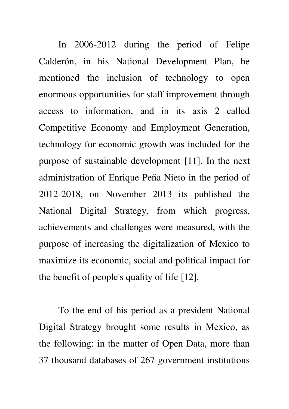In 2006-2012 during the period of Felipe Calderón, in his National Development Plan, he mentioned the inclusion of technology to open enormous opportunities for staff improvement through access to information, and in its axis 2 called Competitive Economy and Employment Generation, technology for economic growth was included for the purpose of sustainable development [11]. In the next administration of Enrique Peña Nieto in the period of 2012-2018, on November 2013 its published the National Digital Strategy, from which progress, achievements and challenges were measured, with the purpose of increasing the digitalization of Mexico to maximize its economic, social and political impact for the benefit of people's quality of life [12].

To the end of his period as a president National Digital Strategy brought some results in Mexico, as the following: in the matter of Open Data, more than 37 thousand databases of 267 government institutions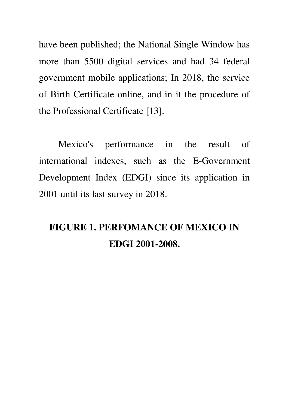have been published; the National Single Window has more than 5500 digital services and had 34 federal government mobile applications; In 2018, the service of Birth Certificate online, and in it the procedure of the Professional Certificate [13].

Mexico's performance in the result of international indexes, such as the E-Government Development Index (EDGI) since its application in 2001 until its last survey in 2018.

### **FIGURE 1. PERFOMANCE OF MEXICO IN EDGI 2001-2008.**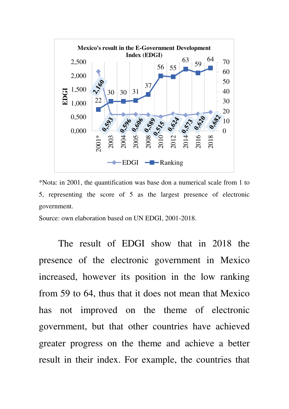

\*Nota: in 2001, the quantification was base don a numerical scale from 1 to 5, representing the score of 5 as the largest presence of electronic government.

Source: own elaboration based on UN EDGI, 2001-2018.

The result of EDGI show that in 2018 the presence of the electronic government in Mexico increased, however its position in the low ranking from 59 to 64, thus that it does not mean that Mexico has not improved on the theme of electronic government, but that other countries have achieved greater progress on the theme and achieve a better result in their index. For example, the countries that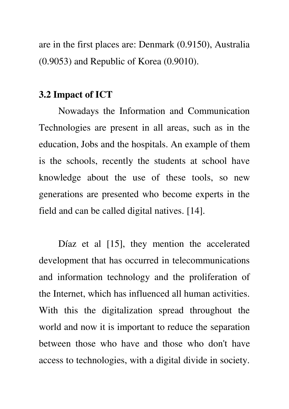are in the first places are: Denmark (0.9150), Australia (0.9053) and Republic of Korea (0.9010).

#### **3.2 Impact of ICT**

Nowadays the Information and Communication Technologies are present in all areas, such as in the education, Jobs and the hospitals. An example of them is the schools, recently the students at school have knowledge about the use of these tools, so new generations are presented who become experts in the field and can be called digital natives. [14].

Díaz et al [15], they mention the accelerated development that has occurred in telecommunications and information technology and the proliferation of the Internet, which has influenced all human activities. With this the digitalization spread throughout the world and now it is important to reduce the separation between those who have and those who don't have access to technologies, with a digital divide in society.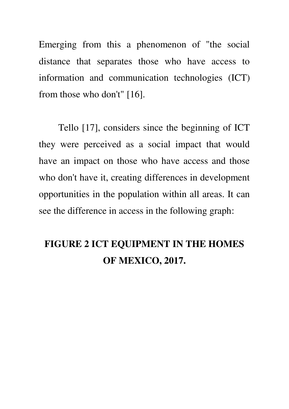Emerging from this a phenomenon of "the social distance that separates those who have access to information and communication technologies (ICT) from those who don't" [16].

Tello [17], considers since the beginning of ICT they were perceived as a social impact that would have an impact on those who have access and those who don't have it, creating differences in development opportunities in the population within all areas. It can see the difference in access in the following graph:

### **FIGURE 2 ICT EQUIPMENT IN THE HOMES OF MEXICO, 2017.**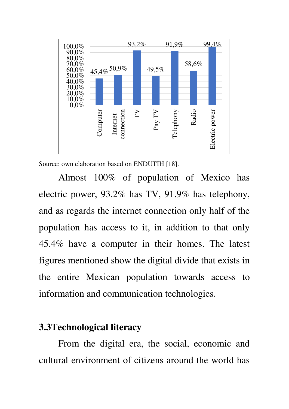

Source: own elaboration based on ENDUTIH [18].

Almost 100% of population of Mexico has electric power, 93.2% has TV, 91.9% has telephony, and as regards the internet connection only half of the population has access to it, in addition to that only 45.4% have a computer in their homes. The latest figures mentioned show the digital divide that exists in the entire Mexican population towards access to information and communication technologies.

### **3.3Technological literacy**

From the digital era, the social, economic and cultural environment of citizens around the world has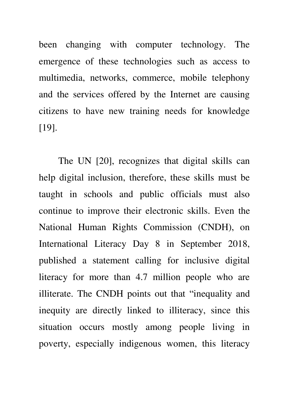been changing with computer technology. The emergence of these technologies such as access to multimedia, networks, commerce, mobile telephony and the services offered by the Internet are causing citizens to have new training needs for knowledge [19].

The UN [20], recognizes that digital skills can help digital inclusion, therefore, these skills must be taught in schools and public officials must also continue to improve their electronic skills. Even the National Human Rights Commission (CNDH), on International Literacy Day 8 in September 2018, published a statement calling for inclusive digital literacy for more than 4.7 million people who are illiterate. The CNDH points out that "inequality and inequity are directly linked to illiteracy, since this situation occurs mostly among people living in poverty, especially indigenous women, this literacy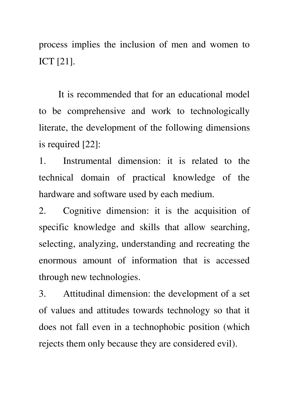process implies the inclusion of men and women to ICT [21].

It is recommended that for an educational model to be comprehensive and work to technologically literate, the development of the following dimensions is required [22]:

1. Instrumental dimension: it is related to the technical domain of practical knowledge of the hardware and software used by each medium.

2. Cognitive dimension: it is the acquisition of specific knowledge and skills that allow searching, selecting, analyzing, understanding and recreating the enormous amount of information that is accessed through new technologies.

3. Attitudinal dimension: the development of a set of values and attitudes towards technology so that it does not fall even in a technophobic position (which rejects them only because they are considered evil).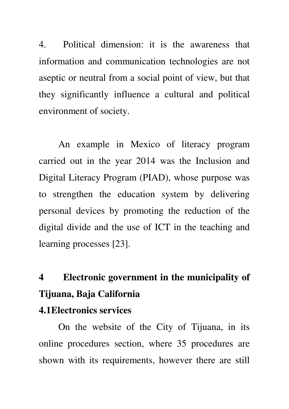4. Political dimension: it is the awareness that information and communication technologies are not aseptic or neutral from a social point of view, but that they significantly influence a cultural and political environment of society.

An example in Mexico of literacy program carried out in the year 2014 was the Inclusion and Digital Literacy Program (PIAD), whose purpose was to strengthen the education system by delivering personal devices by promoting the reduction of the digital divide and the use of ICT in the teaching and learning processes [23].

## **4 Electronic government in the municipality of Tijuana, Baja California**

### **4.1Electronics services**

On the website of the City of Tijuana, in its online procedures section, where 35 procedures are shown with its requirements, however there are still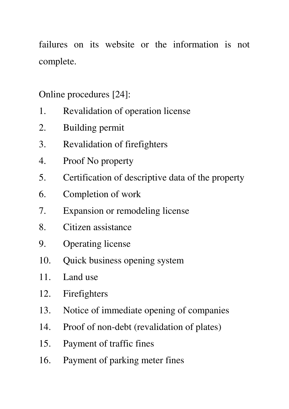failures on its website or the information is not complete.

Online procedures [24]:

- 1. Revalidation of operation license
- 2. Building permit
- 3. Revalidation of firefighters
- 4. Proof No property
- 5. Certification of descriptive data of the property
- 6. Completion of work
- 7. Expansion or remodeling license
- 8. Citizen assistance
- 9. Operating license
- 10. Quick business opening system
- 11. Land use
- 12. Firefighters
- 13. Notice of immediate opening of companies
- 14. Proof of non-debt (revalidation of plates)
- 15. Payment of traffic fines
- 16. Payment of parking meter fines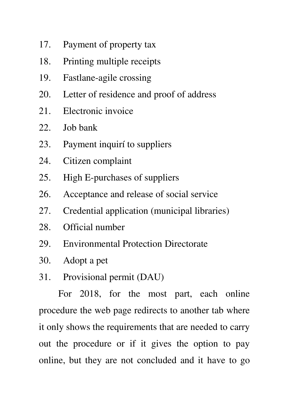- 17. Payment of property tax
- 18. Printing multiple receipts
- 19. Fastlane-agile crossing
- 20. Letter of residence and proof of address
- 21. Electronic invoice
- 22. Job bank
- 23. Payment inquirí to suppliers
- 24. Citizen complaint
- 25. High E-purchases of suppliers
- 26. Acceptance and release of social service
- 27. Credential application (municipal libraries)
- 28. Official number
- 29. Environmental Protection Directorate
- 30. Adopt a pet
- 31. Provisional permit (DAU)

For 2018, for the most part, each online procedure the web page redirects to another tab where it only shows the requirements that are needed to carry out the procedure or if it gives the option to pay online, but they are not concluded and it have to go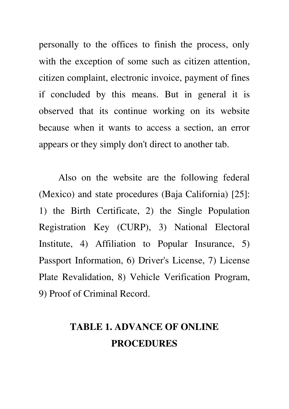personally to the offices to finish the process, only with the exception of some such as citizen attention, citizen complaint, electronic invoice, payment of fines if concluded by this means. But in general it is observed that its continue working on its website because when it wants to access a section, an error appears or they simply don't direct to another tab.

Also on the website are the following federal (Mexico) and state procedures (Baja California) [25]: 1) the Birth Certificate, 2) the Single Population Registration Key (CURP), 3) National Electoral Institute, 4) Affiliation to Popular Insurance, 5) Passport Information, 6) Driver's License, 7) License Plate Revalidation, 8) Vehicle Verification Program, 9) Proof of Criminal Record.

### **TABLE 1. ADVANCE OF ONLINE PROCEDURES**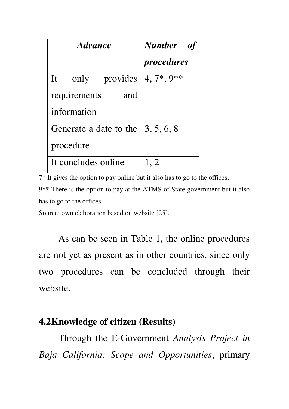| <b>Advance</b>                                    | Number of        |
|---------------------------------------------------|------------------|
|                                                   | procedures       |
| only provides<br>It                               | $4, 7^*, 9^{**}$ |
| requirements<br>and                               |                  |
| information                                       |                  |
| Generate a date to the $\vert 3, 5, 6, 8 \rangle$ |                  |
| procedure                                         |                  |
| It concludes online                               | 1.2              |

 $7*$  It gives the option to pay online but it also has to go to the offices. 9\*\* There is the option to pay at the ATMS of State government but it also has to go to the offices.

Source: own elaboration based on website [25].

As can be seen in Table 1, the online procedures are not yet as present as in other countries, since only two procedures can be concluded through their website.

### **4.2Knowledge of citizen (Results)**

Through the E-Government *Analysis Project in Baja California: Scope and Opportunities*, primary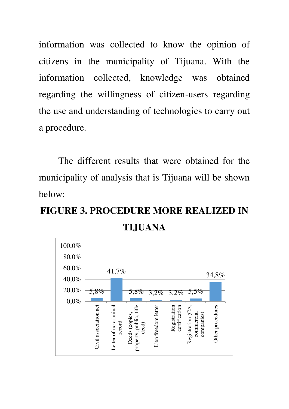information was collected to know the opinion of citizens in the municipality of Tijuana. With the information collected, knowledge was obtained regarding the willingness of citizen-users regarding the use and understanding of technologies to carry out a procedure.

The different results that were obtained for the municipality of analysis that is Tijuana will be shown below:

## **FIGURE 3. PROCEDURE MORE REALIZED IN TIJUANA**

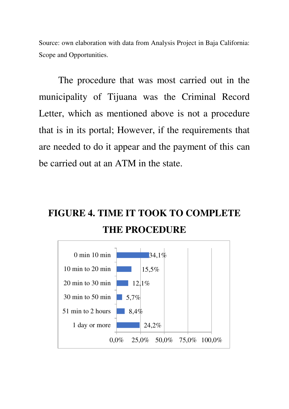Source: own elaboration with data from Analysis Project in Baja California: Scope and Opportunities.

The procedure that was most carried out in the municipality of Tijuana was the Criminal Record Letter, which as mentioned above is not a procedure that is in its portal; However, if the requirements that are needed to do it appear and the payment of this can be carried out at an ATM in the state.

### **FIGURE 4. TIME IT TOOK TO COMPLETE THE PROCEDURE**

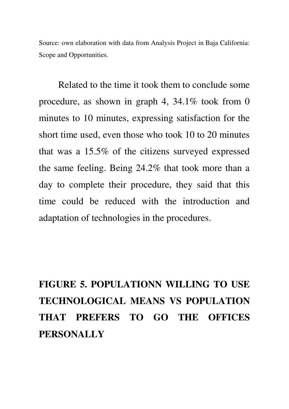Source: own elaboration with data from Analysis Project in Baja California: Scope and Opportunities.

Related to the time it took them to conclude some procedure, as shown in graph 4, 34.1% took from 0 minutes to 10 minutes, expressing satisfaction for the short time used, even those who took 10 to 20 minutes that was a 15.5% of the citizens surveyed expressed the same feeling. Being 24.2% that took more than a day to complete their procedure, they said that this time could be reduced with the introduction and adaptation of technologies in the procedures.

# **FIGURE 5. POPULATIONN WILLING TO USE TECHNOLOGICAL MEANS VS POPULATION THAT PREFERS TO GO THE OFFICES PERSONALLY**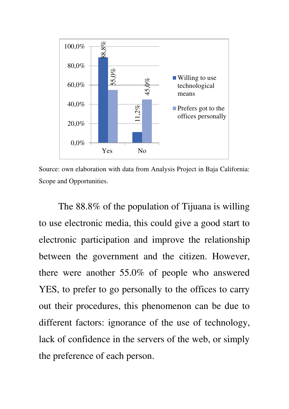

Source: own elaboration with data from Analysis Project in Baja California: Scope and Opportunities.

The 88.8% of the population of Tijuana is willing to use electronic media, this could give a good start to electronic participation and improve the relationship between the government and the citizen. However, there were another 55.0% of people who answered YES, to prefer to go personally to the offices to carry out their procedures, this phenomenon can be due to different factors: ignorance of the use of technology, lack of confidence in the servers of the web, or simply 100,0% 8<br>
80,0% 6.0% 8<br>
60,0% 6.0% 8<br>
40,0% 7 + 3<br>
20,0% 7 + 8<br>
20,0% 7 + 88.8% of the populat<br>
to use electronic media, this considers the government and<br>
there were another 55.0% of<br>
YES, to prefer to go personall<br>
out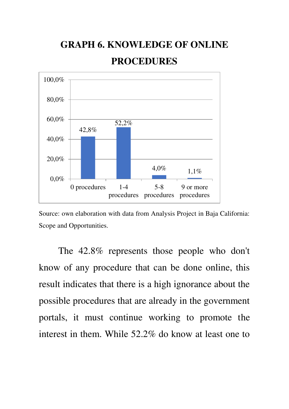## **GRAPH 6. KNOWLEDGE OF ONLINE PROCEDURES**



Source: own elaboration with data from Analysis Project in Baja California: Scope and Opportunities.

The 42.8% represents those people who don't know of any procedure that can be done online, this result indicates that there is a high ignorance about the possible procedures that are already in the government portals, it must continue working to promote the interest in them. While 52.2% do know at least one to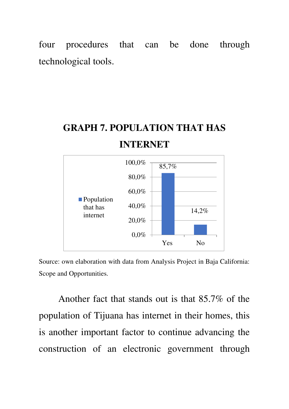four procedures that can be done through technological tools.

## **GRAPH 7. POPULATION THAT HAS INTERNET**



Source: own elaboration with data from Analysis Project in Baja California: Scope and Opportunities.

Another fact that stands out is that 85.7% of the population of Tijuana has internet in their homes, this is another important factor to continue advancing the construction of an electronic government through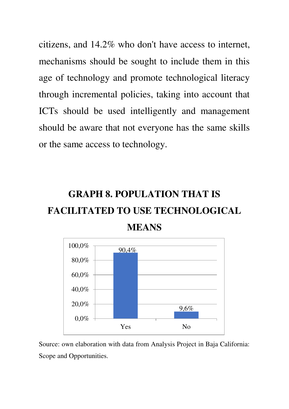citizens, and 14.2% who don't have access to internet, mechanisms should be sought to include them in this age of technology and promote technological literacy through incremental policies, taking into account that ICTs should be used intelligently and management should be aware that not everyone has the same skills or the same access to technology.

# **GRAPH 8. POPULATION THAT IS FACILITATED TO USE TECHNOLOGICAL MEANS**



Source: own elaboration with data from Analysis Project in Baja California: Scope and Opportunities.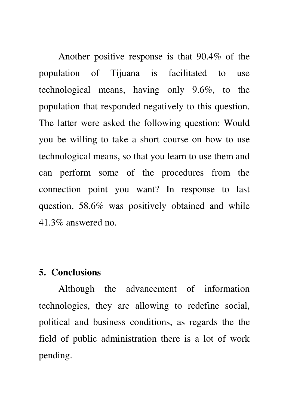Another positive response is that 90.4% of the population of Tijuana is facilitated to use technological means, having only 9.6%, to the population that responded negatively to this question. The latter were asked the following question: Would you be willing to take a short course on how to use technological means, so that you learn to use them and can perform some of the procedures from the connection point you want? In response to last question, 58.6% was positively obtained and while 41.3% answered no.

### **5. Conclusions**

Although the advancement of information technologies, they are allowing to redefine social, political and business conditions, as regards the the field of public administration there is a lot of work pending.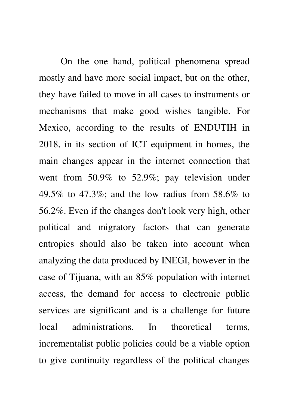On the one hand, political phenomena spread mostly and have more social impact, but on the other, they have failed to move in all cases to instruments or mechanisms that make good wishes tangible. For Mexico, according to the results of ENDUTIH in 2018, in its section of ICT equipment in homes, the main changes appear in the internet connection that went from 50.9% to 52.9%; pay television under 49.5% to 47.3%; and the low radius from 58.6% to 56.2%. Even if the changes don't look very high, other political and migratory factors that can generate entropies should also be taken into account when analyzing the data produced by INEGI, however in the case of Tijuana, with an 85% population with internet access, the demand for access to electronic public services are significant and is a challenge for future local administrations. In theoretical terms, incrementalist public policies could be a viable option to give continuity regardless of the political changes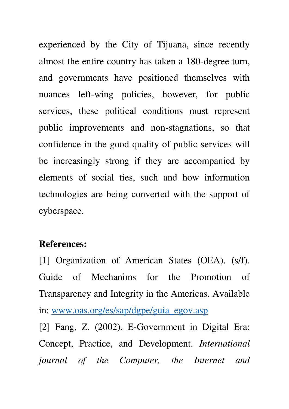experienced by the City of Tijuana, since recently almost the entire country has taken a 180-degree turn, and governments have positioned themselves with nuances left-wing policies, however, for public services, these political conditions must represent public improvements and non-stagnations, so that confidence in the good quality of public services will be increasingly strong if they are accompanied by elements of social ties, such and how information technologies are being converted with the support of cyberspace.

#### **References:**

[1] Organization of American States (OEA). (s/f). Guide of Mechanims for the Promotion of Transparency and Integrity in the Americas. Available in: [www.oas.org/es/sap/dgpe/guia\\_egov.asp](http://www.oas.org/es/sap/dgpe/guia_egov.asp) 

[2] Fang, Z. (2002). E-Government in Digital Era: Concept, Practice, and Development. *International journal of the Computer, the Internet and*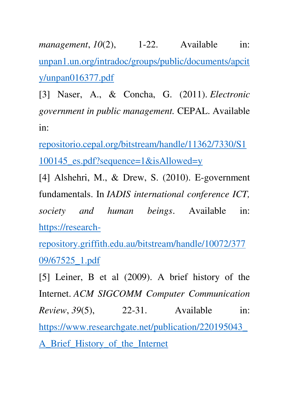*management*, *10*(2), 1-22. Available in: [unpan1.un.org/intradoc/groups/public/documents/apcit](http://unpan1.un.org/intradoc/groups/public/documents/apcity/unpan016377.pdf) [y/unpan016377.pdf](http://unpan1.un.org/intradoc/groups/public/documents/apcity/unpan016377.pdf) 

[3] Naser, A., & Concha, G. (2011). *Electronic government in public management.* CEPAL. Available in:

[repositorio.cepal.org/bitstream/handle/11362/7330/S1](https://repositorio.cepal.org/bitstream/handle/11362/7330/S1100145_es.pdf?sequence=1&isAllowed=y) [100145\\_es.pdf?sequence=1&isAllowed=y](https://repositorio.cepal.org/bitstream/handle/11362/7330/S1100145_es.pdf?sequence=1&isAllowed=y)

[4] Alshehri, M., & Drew, S. (2010). E-government fundamentals. In *IADIS international conference ICT, society and human beings*. Available in: [https://research-](https://research-repository.griffith.edu.au/bitstream/handle/10072/37709/67525_1.pdf)

[repository.griffith.edu.au/bitstream/handle/10072/377](https://research-repository.griffith.edu.au/bitstream/handle/10072/37709/67525_1.pdf) [09/67525\\_1.pdf](https://research-repository.griffith.edu.au/bitstream/handle/10072/37709/67525_1.pdf) 

[5] Leiner, B et al (2009). A brief history of the Internet. *ACM SIGCOMM Computer Communication Review*, *39*(5), 22-31. Available in: [https://www.researchgate.net/publication/220195043\\_](https://www.researchgate.net/publication/220195043_A_Brief_History_of_the_Internet) [A\\_Brief\\_History\\_of\\_the\\_Internet](https://www.researchgate.net/publication/220195043_A_Brief_History_of_the_Internet)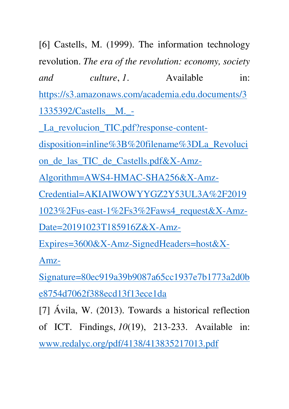[6] Castells, M. (1999). The information technology revolution. *The era of the revolution: economy, society and culture*, *1*. Available in: [https://s3.amazonaws.com/academia.edu.documents/3](https://s3.amazonaws.com/academia.edu.documents/31335392/Castells__M._-_La_revolucion_TIC.pdf?response-content-disposition=inline%3B%20filename%3DLa_Revolucion_de_las_TIC_de_Castells.pdf&X-Amz-Algorithm=AWS4-HMAC-SHA256&X-Amz-Credential=AKIAIWOWYYGZ2Y53UL3A%2F20191023%2Fus-east-1%2Fs3%2Faws4_request&X-Amz-Date=20191023T185916Z&X-Amz-Expires=3600&X-Amz-SignedHeaders=host&X-Amz-Signature=80ec919a39b9087a65cc1937e7b1773a2d0be8754d7062f388ecd13f13ece1da) [1335392/Castells\\_\\_M.\\_-](https://s3.amazonaws.com/academia.edu.documents/31335392/Castells__M._-_La_revolucion_TIC.pdf?response-content-disposition=inline%3B%20filename%3DLa_Revolucion_de_las_TIC_de_Castells.pdf&X-Amz-Algorithm=AWS4-HMAC-SHA256&X-Amz-Credential=AKIAIWOWYYGZ2Y53UL3A%2F20191023%2Fus-east-1%2Fs3%2Faws4_request&X-Amz-Date=20191023T185916Z&X-Amz-Expires=3600&X-Amz-SignedHeaders=host&X-Amz-Signature=80ec919a39b9087a65cc1937e7b1773a2d0be8754d7062f388ecd13f13ece1da) [\\_La\\_revolucion\\_TIC.pdf?response-content-](https://s3.amazonaws.com/academia.edu.documents/31335392/Castells__M._-_La_revolucion_TIC.pdf?response-content-disposition=inline%3B%20filename%3DLa_Revolucion_de_las_TIC_de_Castells.pdf&X-Amz-Algorithm=AWS4-HMAC-SHA256&X-Amz-Credential=AKIAIWOWYYGZ2Y53UL3A%2F20191023%2Fus-east-1%2Fs3%2Faws4_request&X-Amz-Date=20191023T185916Z&X-Amz-Expires=3600&X-Amz-SignedHeaders=host&X-Amz-Signature=80ec919a39b9087a65cc1937e7b1773a2d0be8754d7062f388ecd13f13ece1da)

[disposition=inline%3B%20filename%3DLa\\_Revoluci](https://s3.amazonaws.com/academia.edu.documents/31335392/Castells__M._-_La_revolucion_TIC.pdf?response-content-disposition=inline%3B%20filename%3DLa_Revolucion_de_las_TIC_de_Castells.pdf&X-Amz-Algorithm=AWS4-HMAC-SHA256&X-Amz-Credential=AKIAIWOWYYGZ2Y53UL3A%2F20191023%2Fus-east-1%2Fs3%2Faws4_request&X-Amz-Date=20191023T185916Z&X-Amz-Expires=3600&X-Amz-SignedHeaders=host&X-Amz-Signature=80ec919a39b9087a65cc1937e7b1773a2d0be8754d7062f388ecd13f13ece1da)

on de las TIC de Castells.pdf&X-Amz-

[Algorithm=AWS4-HMAC-SHA256&X-Amz-](https://s3.amazonaws.com/academia.edu.documents/31335392/Castells__M._-_La_revolucion_TIC.pdf?response-content-disposition=inline%3B%20filename%3DLa_Revolucion_de_las_TIC_de_Castells.pdf&X-Amz-Algorithm=AWS4-HMAC-SHA256&X-Amz-Credential=AKIAIWOWYYGZ2Y53UL3A%2F20191023%2Fus-east-1%2Fs3%2Faws4_request&X-Amz-Date=20191023T185916Z&X-Amz-Expires=3600&X-Amz-SignedHeaders=host&X-Amz-Signature=80ec919a39b9087a65cc1937e7b1773a2d0be8754d7062f388ecd13f13ece1da)

[Credential=AKIAIWOWYYGZ2Y53UL3A%2F2019](https://s3.amazonaws.com/academia.edu.documents/31335392/Castells__M._-_La_revolucion_TIC.pdf?response-content-disposition=inline%3B%20filename%3DLa_Revolucion_de_las_TIC_de_Castells.pdf&X-Amz-Algorithm=AWS4-HMAC-SHA256&X-Amz-Credential=AKIAIWOWYYGZ2Y53UL3A%2F20191023%2Fus-east-1%2Fs3%2Faws4_request&X-Amz-Date=20191023T185916Z&X-Amz-Expires=3600&X-Amz-SignedHeaders=host&X-Amz-Signature=80ec919a39b9087a65cc1937e7b1773a2d0be8754d7062f388ecd13f13ece1da)

[1023%2Fus-east-1%2Fs3%2Faws4\\_request&X-Amz-](https://s3.amazonaws.com/academia.edu.documents/31335392/Castells__M._-_La_revolucion_TIC.pdf?response-content-disposition=inline%3B%20filename%3DLa_Revolucion_de_las_TIC_de_Castells.pdf&X-Amz-Algorithm=AWS4-HMAC-SHA256&X-Amz-Credential=AKIAIWOWYYGZ2Y53UL3A%2F20191023%2Fus-east-1%2Fs3%2Faws4_request&X-Amz-Date=20191023T185916Z&X-Amz-Expires=3600&X-Amz-SignedHeaders=host&X-Amz-Signature=80ec919a39b9087a65cc1937e7b1773a2d0be8754d7062f388ecd13f13ece1da)

[Date=20191023T185916Z&X-Amz-](https://s3.amazonaws.com/academia.edu.documents/31335392/Castells__M._-_La_revolucion_TIC.pdf?response-content-disposition=inline%3B%20filename%3DLa_Revolucion_de_las_TIC_de_Castells.pdf&X-Amz-Algorithm=AWS4-HMAC-SHA256&X-Amz-Credential=AKIAIWOWYYGZ2Y53UL3A%2F20191023%2Fus-east-1%2Fs3%2Faws4_request&X-Amz-Date=20191023T185916Z&X-Amz-Expires=3600&X-Amz-SignedHeaders=host&X-Amz-Signature=80ec919a39b9087a65cc1937e7b1773a2d0be8754d7062f388ecd13f13ece1da)

[Expires=3600&X-Amz-SignedHeaders=host&X-](https://s3.amazonaws.com/academia.edu.documents/31335392/Castells__M._-_La_revolucion_TIC.pdf?response-content-disposition=inline%3B%20filename%3DLa_Revolucion_de_las_TIC_de_Castells.pdf&X-Amz-Algorithm=AWS4-HMAC-SHA256&X-Amz-Credential=AKIAIWOWYYGZ2Y53UL3A%2F20191023%2Fus-east-1%2Fs3%2Faws4_request&X-Amz-Date=20191023T185916Z&X-Amz-Expires=3600&X-Amz-SignedHeaders=host&X-Amz-Signature=80ec919a39b9087a65cc1937e7b1773a2d0be8754d7062f388ecd13f13ece1da)

[Amz-](https://s3.amazonaws.com/academia.edu.documents/31335392/Castells__M._-_La_revolucion_TIC.pdf?response-content-disposition=inline%3B%20filename%3DLa_Revolucion_de_las_TIC_de_Castells.pdf&X-Amz-Algorithm=AWS4-HMAC-SHA256&X-Amz-Credential=AKIAIWOWYYGZ2Y53UL3A%2F20191023%2Fus-east-1%2Fs3%2Faws4_request&X-Amz-Date=20191023T185916Z&X-Amz-Expires=3600&X-Amz-SignedHeaders=host&X-Amz-Signature=80ec919a39b9087a65cc1937e7b1773a2d0be8754d7062f388ecd13f13ece1da)

[Signature=80ec919a39b9087a65cc1937e7b1773a2d0b](https://s3.amazonaws.com/academia.edu.documents/31335392/Castells__M._-_La_revolucion_TIC.pdf?response-content-disposition=inline%3B%20filename%3DLa_Revolucion_de_las_TIC_de_Castells.pdf&X-Amz-Algorithm=AWS4-HMAC-SHA256&X-Amz-Credential=AKIAIWOWYYGZ2Y53UL3A%2F20191023%2Fus-east-1%2Fs3%2Faws4_request&X-Amz-Date=20191023T185916Z&X-Amz-Expires=3600&X-Amz-SignedHeaders=host&X-Amz-Signature=80ec919a39b9087a65cc1937e7b1773a2d0be8754d7062f388ecd13f13ece1da) [e8754d7062f388ecd13f13ece1da](https://s3.amazonaws.com/academia.edu.documents/31335392/Castells__M._-_La_revolucion_TIC.pdf?response-content-disposition=inline%3B%20filename%3DLa_Revolucion_de_las_TIC_de_Castells.pdf&X-Amz-Algorithm=AWS4-HMAC-SHA256&X-Amz-Credential=AKIAIWOWYYGZ2Y53UL3A%2F20191023%2Fus-east-1%2Fs3%2Faws4_request&X-Amz-Date=20191023T185916Z&X-Amz-Expires=3600&X-Amz-SignedHeaders=host&X-Amz-Signature=80ec919a39b9087a65cc1937e7b1773a2d0be8754d7062f388ecd13f13ece1da) 

[7] Ávila, W. (2013). Towards a historical reflection

of ICT. Findings, *10*(19), 213-233. Available in: [www.redalyc.org/pdf/4138/413835217013.pdf](http://www.redalyc.org/pdf/4138/413835217013.pdf)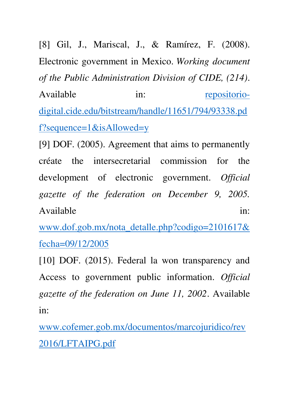[8] Gil, J., Mariscal, J., & Ramírez, F. (2008). Electronic government in Mexico. *Working document of the Public Administration Division of CIDE, (214)*. Available in: [repositorio](http://repositorio-digital.cide.edu/bitstream/handle/11651/794/93338.pdf?sequence=1&isAllowed=y)[digital.cide.edu/bitstream/handle/11651/794/93338.pd](http://repositorio-digital.cide.edu/bitstream/handle/11651/794/93338.pdf?sequence=1&isAllowed=y) [f?sequence=1&isAllowed=y](http://repositorio-digital.cide.edu/bitstream/handle/11651/794/93338.pdf?sequence=1&isAllowed=y)

[9] DOF. (2005). Agreement that aims to permanently créate the intersecretarial commission for the development of electronic government. *Official gazette of the federation on December 9, 2005.* Available in:  $\frac{1}{2}$  in:

[www.dof.gob.mx/nota\\_detalle.php?codigo=2101617&](http://www.dof.gob.mx/nota_detalle.php?codigo=2101617&fecha=09/12/2005) [fecha=09/12/2005](http://www.dof.gob.mx/nota_detalle.php?codigo=2101617&fecha=09/12/2005)

[10] DOF. (2015). Federal la won transparency and Access to government public information. *Official gazette of the federation on June 11, 2002*. Available in:

[www.cofemer.gob.mx/documentos/marcojuridico/rev](http://www.cofemer.gob.mx/documentos/marcojuridico/rev2016/LFTAIPG.pdf) [2016/LFTAIPG.pdf](http://www.cofemer.gob.mx/documentos/marcojuridico/rev2016/LFTAIPG.pdf)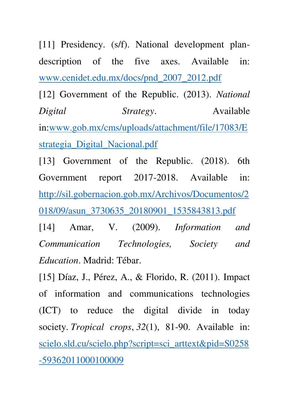[11] Presidency. (s/f). National development plandescription of the five axes. Available in: [www.cenidet.edu.mx/docs/pnd\\_2007\\_2012.pdf](http://www.cenidet.edu.mx/docs/pnd_2007_2012.pdf)

[12] Government of the Republic. (2013). *National Digital Strategy*. Available in[:www.gob.mx/cms/uploads/attachment/file/17083/E](http://www.gob.mx/cms/uploads/attachment/file/17083/Estrategia_Digital_Nacional.pdf) [strategia\\_Digital\\_Nacional.pdf](http://www.gob.mx/cms/uploads/attachment/file/17083/Estrategia_Digital_Nacional.pdf)

[13] Government of the Republic. (2018). 6th Government report 2017-2018. Available in: [http://sil.gobernacion.gob.mx/Archivos/Documentos/2](http://sil.gobernacion.gob.mx/Archivos/Documentos/2018/09/asun_3730635_20180901_1535843813.pdf) 018/09/asun 3730635 20180901 1535843813.pdf

[14] Amar, V. (2009). *Information and Communication Technologies, Society and Education*. Madrid: Tébar.

[15] Díaz, J., Pérez, A., & Florido, R. (2011). Impact of information and communications technologies (ICT) to reduce the digital divide in today society. *Tropical crops*, *32*(1), 81-90. Available in: [scielo.sld.cu/scielo.php?script=sci\\_arttext&pid=S0258](http://scielo.sld.cu/scielo.php?script=sci_arttext&pid=S0258-59362011000100009) [-59362011000100009](http://scielo.sld.cu/scielo.php?script=sci_arttext&pid=S0258-59362011000100009)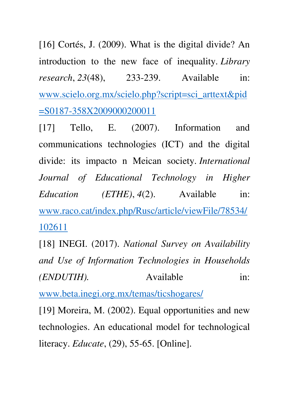[16] Cortés, J. (2009). What is the digital divide? An introduction to the new face of inequality. *Library research*, *23*(48), 233-239. Available in: [www.scielo.org.mx/scielo.php?script=sci\\_arttext&pid](http://www.scielo.org.mx/scielo.php?script=sci_arttext&pid=S0187-358X2009000200011) [=S0187-358X2009000200011](http://www.scielo.org.mx/scielo.php?script=sci_arttext&pid=S0187-358X2009000200011)

[17] Tello, E. (2007). Information and communications technologies (ICT) and the digital divide: its impacto n Meican society. *International Journal of Educational Technology in Higher Education (ETHE)*, *4*(2). Available in: [www.raco.cat/index.php/Rusc/article/viewFile/78534/](http://www.raco.cat/index.php/Rusc/article/viewFile/78534/102611) [102611](http://www.raco.cat/index.php/Rusc/article/viewFile/78534/102611) 

[18] INEGI. (2017). *National Survey on Availability and Use of Information Technologies in Households (ENDUTIH).* Available in: [www.beta.inegi.org.mx/temas/ticshogares/](http://www.beta.inegi.org.mx/temas/ticshogares/)

[19] Moreira, M. (2002). Equal opportunities and new technologies. An educational model for technological literacy. *Educate*, (29), 55-65. [Online].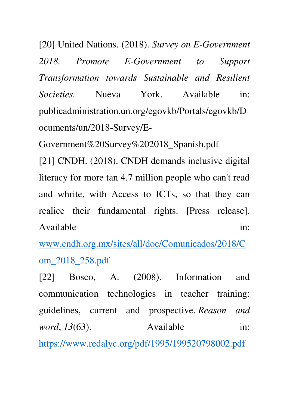[20] United Nations. (2018). *Survey on E-Government 2018. Promote E-Government to Support Transformation towards Sustainable and Resilient Societies.* Nueva York. Available in: publicadministration.un.org/egovkb/Portals/egovkb/D ocuments/un/2018-Survey/E-

Government%20Survey%202018\_Spanish.pdf

[21] CNDH. (2018). CNDH demands inclusive digital literacy for more tan 4.7 million people who can't read and whrite, with Access to ICTs, so that they can realice their fundamental rights. [Press release]. Available in:  $\frac{1}{2}$  in:

[www.cndh.org.mx/sites/all/doc/Comunicados/2018/C](http://www.cndh.org.mx/sites/all/doc/Comunicados/2018/Com_2018_258.pdf) [om\\_2018\\_258.pdf](http://www.cndh.org.mx/sites/all/doc/Comunicados/2018/Com_2018_258.pdf)

[22] Bosco, A. (2008). Information and communication technologies in teacher training: guidelines, current and prospective. *Reason and word*, 13(63). Available in: <https://www.redalyc.org/pdf/1995/199520798002.pdf>